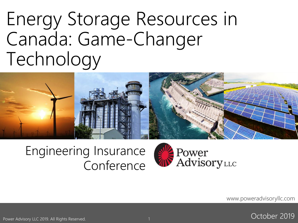# Energy Storage Resources in Canada: Game-Changer Technology



#### Engineering Insurance Conference



www.poweradvisoryllc.com



Power Advisory LLC 2019. All Rights Reserved.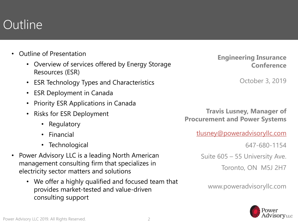### **Outline**

- Outline of Presentation
	- Overview of services offered by Energy Storage Resources (ESR)
	- ESR Technology Types and Characteristics
	- ESR Deployment in Canada
	- Priority ESR Applications in Canada
	- Risks for ESR Deployment
		- Regulatory
		- Financial
		- Technological
- Power Advisory LLC is a leading North American management consulting firm that specializes in electricity sector matters and solutions
	- We offer a highly qualified and focused team that provides market-tested and value-driven consulting support

**Engineering Insurance Conference**

October 3, 2019

**Travis Lusney, Manager of Procurement and Power Systems**

[tlusney@poweradvisoryllc.com](mailto:jdalton@poweradvisoryllc.com)

647-680-1154

Suite 605 – 55 University Ave.

Toronto, ON M5J 2H7

www.poweradvisoryllc.com

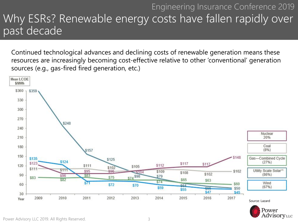#### Engineering Insurance Conference 2019 Why ESRs? Renewable energy costs have fallen rapidly over past decade

Continued technological advances and declining costs of renewable generation means these resources are increasingly becoming cost-effective relative to other 'conventional' generation sources (e.g., gas-fired fired generation, etc.)



AdvisoryLLC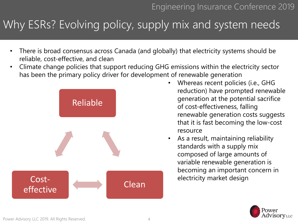#### Why ESRs? Evolving policy, supply mix and system needs

- There is broad consensus across Canada (and globally) that electricity systems should be reliable, cost-effective, and clean
- Climate change policies that support reducing GHG emissions within the electricity sector has been the primary policy driver for development of renewable generation



- Whereas recent policies (i.e., GHG reduction) have prompted renewable generation at the potential sacrifice of cost-effectiveness, falling renewable generation costs suggests that it is fast becoming the low-cost resource
- As a result, maintaining reliability standards with a supply mix composed of large amounts of variable renewable generation is becoming an important concern in electricity market design

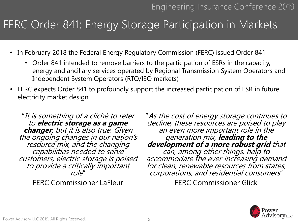#### FERC Order 841: Energy Storage Participation in Markets

- In February 2018 the Federal Energy Regulatory Commission (FERC) issued Order 841
	- Order 841 intended to remove barriers to the participation of ESRs in the capacity, energy and ancillary services operated by Regional Transmission System Operators and Independent System Operators (RTO/ISO markets)
- FERC expects Order 841 to profoundly support the increased participation of ESR in future electricity market design

"It is something of a cliché to refer to **electric storage as a game changer**, but it is also true. Given the ongoing changes in our nation's resource mix, and the changing capabilities needed to serve customers, electric storage is poised to provide a critically important role"

FERC Commissioner LaFleur

"As the cost of energy storage continues to decline, these resources are poised to play an even more important role in the generation mix, **leading to the development of a more robust grid** that can, among other things, help to accommodate the ever-increasing demand for clean, renewable resources from states, corporations, and residential consumers"

FERC Commissioner Glick

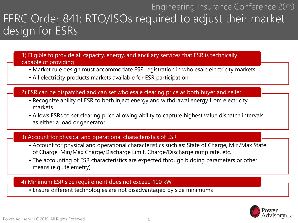#### Engineering Insurance Conference 2019 FERC Order 841: RTO/ISOs required to adjust their market design for ESRs

1) Eligible to provide all capacity, energy, and ancillary services that ESR is technically capable of providing

- Market rule design must accommodate ESR registration in wholesale electricity markets
- All electricity products markets available for ESR participation

2) ESR can be dispatched and can set wholesale clearing price as both buyer and seller

- Recognize ability of ESR to both inject energy and withdrawal energy from electricity markets
- Allows ESRs to set clearing price allowing ability to capture highest value dispatch intervals as either a load or generator

#### 3) Account for physical and operational characteristics of ESR

- Account for physical and operational characteristics such as: State of Charge, Min/Max State of Charge, Min/Max Charge/Discharge Limit, Charge/Discharge ramp rate, etc.
- The accounting of ESR characteristics are expected through bidding parameters or other means (e.g., telemetry)

#### 4) Minimum ESR size requirement does not exceed 100 kW

• Ensure different technologies are not disadvantaged by size minimums

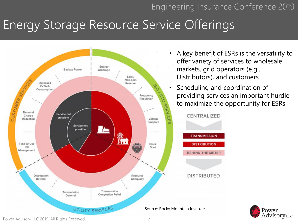### Energy Storage Resource Service Offerings



- A key benefit of ESRs is the versatility to offer variety of services to wholesale markets, grid operators (e.g., Distributors), and customers
- Scheduling and coordination of providing services an important hurdle to maximize the opportunity for ESRs

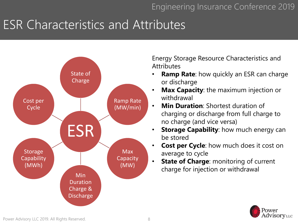## ESR Characteristics and Attributes



Energy Storage Resource Characteristics and **Attributes** 

- **Ramp Rate:** how quickly an ESR can charge or discharge
- **Max Capacity**: the maximum injection or withdrawal
- **Min Duration**: Shortest duration of charging or discharge from full charge to no charge (and vice versa)
- **Storage Capability**: how much energy can be stored
- **Cost per Cycle**: how much does it cost on average to cycle
- **State of Charge**: monitoring of current charge for injection or withdrawal

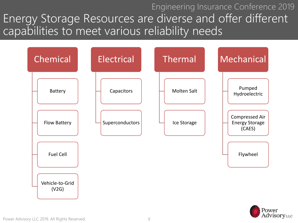Engineering Insurance Conference 2019 Energy Storage Resources are diverse and offer different capabilities to meet various reliability needs



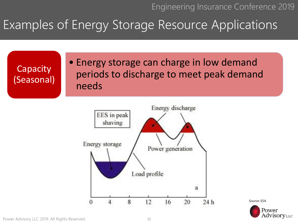### Examples of Energy Storage Resource Applications

**Capacity** (Seasonal) • Energy storage can charge in low demand periods to discharge to meet peak demand needs



Source: ESA



Power Advisory LLC 2019. All Rights Reserved.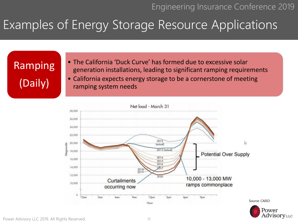AdvisoryLLC

### Examples of Energy Storage Resource Applications

Ramping (Daily)

• The California 'Duck Curve' has formed due to excessive solar generation installations, leading to significant ramping requirements • California expects energy storage to be a cornerstone of meeting ramping system needs

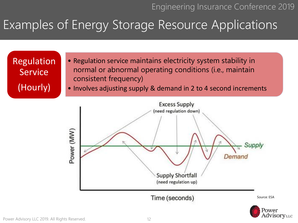AdvisoryLLC

## Examples of Energy Storage Resource Applications

Regulation **Service** (Hourly)

- Regulation service maintains electricity system stability in normal or abnormal operating conditions (i.e., maintain consistent frequency)
- Involves adjusting supply & demand in 2 to 4 second increments

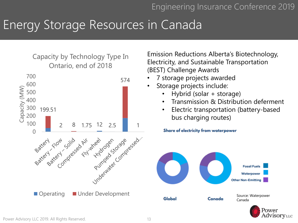### Energy Storage Resources in Canada

#### Capacity by Technology Type In Ontario, end of 2018



Emission Reductions Alberta's Biotechnology, Electricity, and Sustainable Transportation (BEST) Challenge Awards

- 7 storage projects awarded
- Storage projects include:
	- Hybrid (solar + storage)
	- Transmission & Distribution deferment
	- Electric transportation (battery-based bus charging routes)

Share of electricity from waterpower



AdvisoryLLC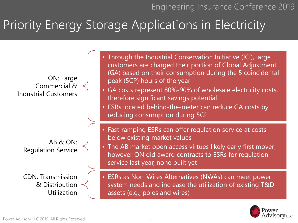## Priority Energy Storage Applications in Electricity



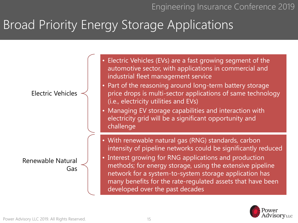## Broad Priority Energy Storage Applications



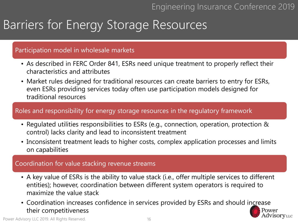#### Barriers for Energy Storage Resources

#### Participation model in wholesale markets

- As described in FERC Order 841, ESRs need unique treatment to properly reflect their characteristics and attributes
- Market rules designed for traditional resources can create barriers to entry for ESRs, even ESRs providing services today often use participation models designed for traditional resources

#### Roles and responsibility for energy storage resources in the regulatory framework

- Regulated utilities responsibilities to ESRs (e.g., connection, operation, protection & control) lacks clarity and lead to inconsistent treatment
- Inconsistent treatment leads to higher costs, complex application processes and limits on capabilities

#### Coordination for value stacking revenue streams

- A key value of ESRs is the ability to value stack (i.e., offer multiple services to different entities); however, coordination between different system operators is required to maximize the value stack
- Coordination increases confidence in services provided by ESRs and should increase their competitiveness Power dvisoryLLC

Power Advisory LLC 2019. All Rights Reserved.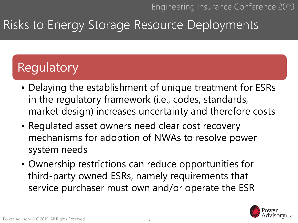## Risks to Energy Storage Resource Deployments

## **Regulatory**

- Delaying the establishment of unique treatment for ESRs in the regulatory framework (i.e., codes, standards, market design) increases uncertainty and therefore costs
- Regulated asset owners need clear cost recovery mechanisms for adoption of NWAs to resolve power system needs
- Ownership restrictions can reduce opportunities for third-party owned ESRs, namely requirements that service purchaser must own and/or operate the ESR

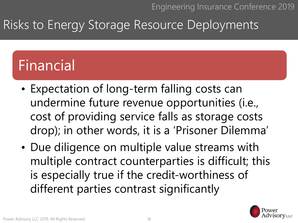## Risks to Energy Storage Resource Deployments

## Financial

- Expectation of long-term falling costs can undermine future revenue opportunities (i.e., cost of providing service falls as storage costs drop); in other words, it is a 'Prisoner Dilemma'
- Due diligence on multiple value streams with multiple contract counterparties is difficult; this is especially true if the credit-worthiness of different parties contrast significantly

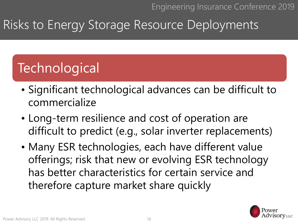## Risks to Energy Storage Resource Deployments

## **Technological**

- Significant technological advances can be difficult to commercialize
- Long-term resilience and cost of operation are difficult to predict (e.g., solar inverter replacements)
- Many ESR technologies, each have different value offerings; risk that new or evolving ESR technology has better characteristics for certain service and therefore capture market share quickly

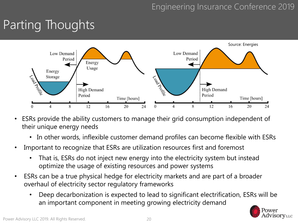## Parting Thoughts



- ESRs provide the ability customers to manage their grid consumption independent of their unique energy needs
	- In other words, inflexible customer demand profiles can become flexible with ESRs
- Important to recognize that ESRs are utilization resources first and foremost
	- That is, ESRs do not inject new energy into the electricity system but instead optimize the usage of existing resources and power systems
- ESRs can be a true physical hedge for electricity markets and are part of a broader overhaul of electricity sector regulatory frameworks
	- Deep decarbonization is expected to lead to significant electrification, ESRs will be an important component in meeting growing electricity demand